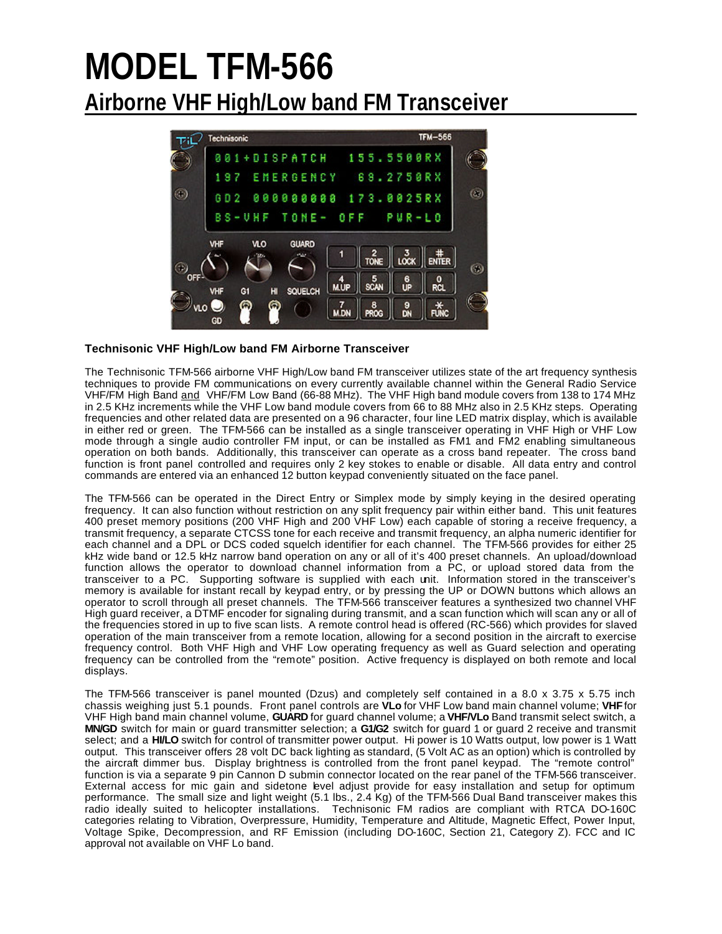# **MODEL TFM-566 Airborne VHF High/Low band FM Transceiver**



### **Technisonic VHF High/Low band FM Airborne Transceiver**

The Technisonic TFM-566 airborne VHF High/Low band FM transceiver utilizes state of the art frequency synthesis techniques to provide FM communications on every currently available channel within the General Radio Service VHF/FM High Band and VHF/FM Low Band (66-88 MHz). The VHF High band module covers from 138 to 174 MHz in 2.5 KHz increments while the VHF Low band module covers from 66 to 88 MHz also in 2.5 KHz steps. Operating frequencies and other related data are presented on a 96 character, four line LED matrix display, which is available in either red or green. The TFM-566 can be installed as a single transceiver operating in VHF High or VHF Low mode through a single audio controller FM input, or can be installed as FM1 and FM2 enabling simultaneous operation on both bands. Additionally, this transceiver can operate as a cross band repeater. The cross band function is front panel controlled and requires only 2 key stokes to enable or disable. All data entry and control commands are entered via an enhanced 12 button keypad conveniently situated on the face panel.

The TFM-566 can be operated in the Direct Entry or Simplex mode by simply keying in the desired operating frequency. It can also function without restriction on any split frequency pair within either band. This unit features 400 preset memory positions (200 VHF High and 200 VHF Low) each capable of storing a receive frequency, a transmit frequency, a separate CTCSS tone for each receive and transmit frequency, an alpha numeric identifier for each channel and a DPL or DCS coded squelch identifier for each channel. The TFM-566 provides for either 25 kHz wide band or 12.5 kHz narrow band operation on any or all of it's 400 preset channels. An upload/download function allows the operator to download channel information from a PC, or upload stored data from the transceiver to a PC. Supporting software is supplied with each unit. Information stored in the transceiver's memory is available for instant recall by keypad entry, or by pressing the UP or DOWN buttons which allows an operator to scroll through all preset channels. The TFM-566 transceiver features a synthesized two channel VHF High guard receiver, a DTMF encoder for signaling during transmit, and a scan function which will scan any or all of the frequencies stored in up to five scan lists. A remote control head is offered (RC-566) which provides for slaved operation of the main transceiver from a remote location, allowing for a second position in the aircraft to exercise frequency control. Both VHF High and VHF Low operating frequency as well as Guard selection and operating frequency can be controlled from the "remote" position. Active frequency is displayed on both remote and local displays.

The TFM-566 transceiver is panel mounted (Dzus) and completely self contained in a 8.0 x 3.75 x 5.75 inch chassis weighing just 5.1 pounds. Front panel controls are **VLo** for VHF Low band main channel volume; **VHF** for VHF High band main channel volume, **GUARD** for guard channel volume; a **VHF/VLo** Band transmit select switch, a **MN/GD** switch for main or guard transmitter selection; a **G1/G2** switch for guard 1 or guard 2 receive and transmit select; and a **HI/LO** switch for control of transmitter power output. Hi power is 10 Watts output, low power is 1 Watt output. This transceiver offers 28 volt DC back lighting as standard, (5 Volt AC as an option) which is controlled by the aircraft dimmer bus. Display brightness is controlled from the front panel keypad. The "remote control" function is via a separate 9 pin Cannon D submin connector located on the rear panel of the TFM-566 transceiver. External access for mic gain and sidetone level adjust provide for easy installation and setup for optimum performance. The small size and light weight (5.1 lbs., 2.4 Kg) of the TFM-566 Dual Band transceiver makes this radio ideally suited to helicopter installations. Technisonic FM radios are compliant with RTCA DO-160C categories relating to Vibration, Overpressure, Humidity, Temperature and Altitude, Magnetic Effect, Power Input, Voltage Spike, Decompression, and RF Emission (including DO-160C, Section 21, Category Z). FCC and IC approval not available on VHF Lo band.